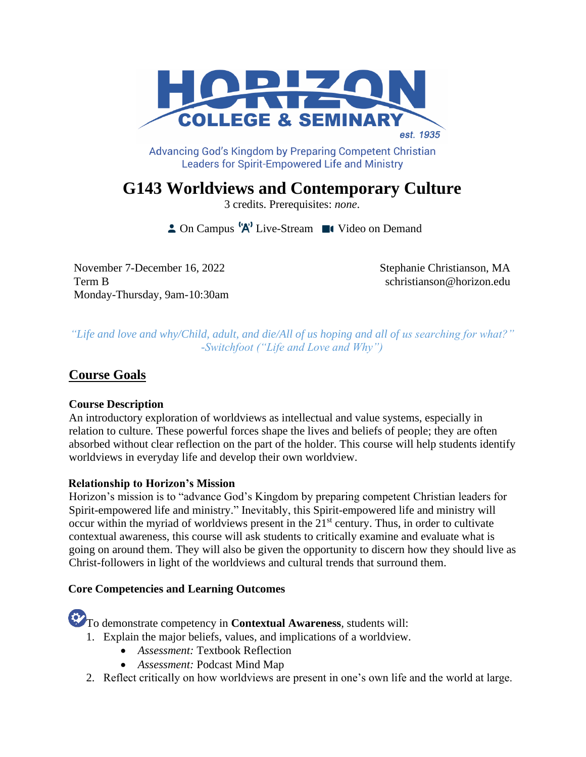

Advancing God's Kingdom by Preparing Competent Christian **Leaders for Spirit-Empowered Life and Ministry** 

**G143 Worldviews and Contemporary Culture** 

3 credits. Prerequisites: *none*.

 $\triangle$  On Campus  $^1A^1$  Live-Stream  $\blacksquare$  Video on Demand

November 7-December 16, 2022 Stephanie Christianson, MA Term B schristianson@horizon.edu Monday-Thursday, 9am-10:30am

*"Life and love and why/Child, adult, and die/All of us hoping and all of us searching for what?" -Switchfoot ("Life and Love and Why")*

# **Course Goals**

## **Course Description**

An introductory exploration of worldviews as intellectual and value systems, especially in relation to culture. These powerful forces shape the lives and beliefs of people; they are often absorbed without clear reflection on the part of the holder. This course will help students identify worldviews in everyday life and develop their own worldview.

## **Relationship to Horizon's Mission**

Horizon's mission is to "advance God's Kingdom by preparing competent Christian leaders for Spirit-empowered life and ministry." Inevitably, this Spirit-empowered life and ministry will occur within the myriad of worldviews present in the  $21<sup>st</sup>$  century. Thus, in order to cultivate contextual awareness, this course will ask students to critically examine and evaluate what is going on around them. They will also be given the opportunity to discern how they should live as Christ-followers in light of the worldviews and cultural trends that surround them.

## **Core Competencies and Learning Outcomes**

To demonstrate competency in **Contextual Awareness***,* students will:

- 1. Explain the major beliefs, values, and implications of a worldview.
	- *Assessment:* Textbook Reflection
	- *Assessment:* Podcast Mind Map
- 2. Reflect critically on how worldviews are present in one's own life and the world at large.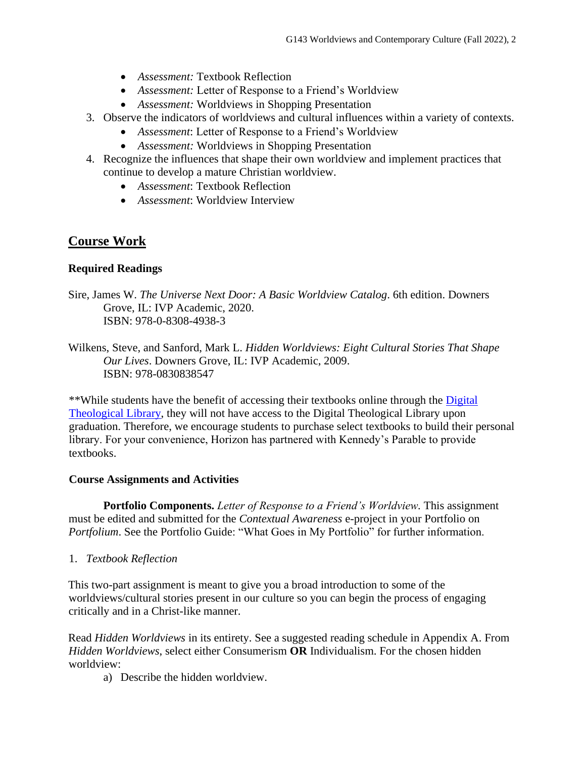- *Assessment:* Textbook Reflection
- *Assessment:* Letter of Response to a Friend's Worldview
- *Assessment:* Worldviews in Shopping Presentation
- 3. Observe the indicators of worldviews and cultural influences within a variety of contexts.
	- *Assessment*: Letter of Response to a Friend's Worldview
	- *Assessment:* Worldviews in Shopping Presentation
- 4. Recognize the influences that shape their own worldview and implement practices that continue to develop a mature Christian worldview.
	- *Assessment*: Textbook Reflection
	- *Assessment*: Worldview Interview

## **Course Work**

### **Required Readings**

Sire, James W. *The Universe Next Door: A Basic Worldview Catalog*. 6th edition. Downers Grove, IL: IVP Academic, 2020. ISBN: 978-0-8308-4938-3

Wilkens, Steve, and Sanford, Mark L. *Hidden Worldviews: Eight Cultural Stories That Shape Our Lives*. Downers Grove, IL: IVP Academic, 2009. ISBN: 978-0830838547

\*\*While students have the benefit of accessing their textbooks online through the [Digital](https://libguides.thedtl.org/home)  [Theological Library,](https://libguides.thedtl.org/home) they will not have access to the Digital Theological Library upon graduation. Therefore, we encourage students to purchase select textbooks to build their personal library. For your convenience, Horizon has partnered with Kennedy's Parable to provide textbooks.

### **Course Assignments and Activities**

**Portfolio Components.** *Letter of Response to a Friend's Worldview.* This assignment must be edited and submitted for the *Contextual Awareness* e-project in your Portfolio on *Portfolium*. See the Portfolio Guide: "What Goes in My Portfolio" for further information.

1. *Textbook Reflection*

This two-part assignment is meant to give you a broad introduction to some of the worldviews/cultural stories present in our culture so you can begin the process of engaging critically and in a Christ-like manner.

Read *Hidden Worldviews* in its entirety. See a suggested reading schedule in Appendix A. From *Hidden Worldviews*, select either Consumerism **OR** Individualism. For the chosen hidden worldview:

a) Describe the hidden worldview.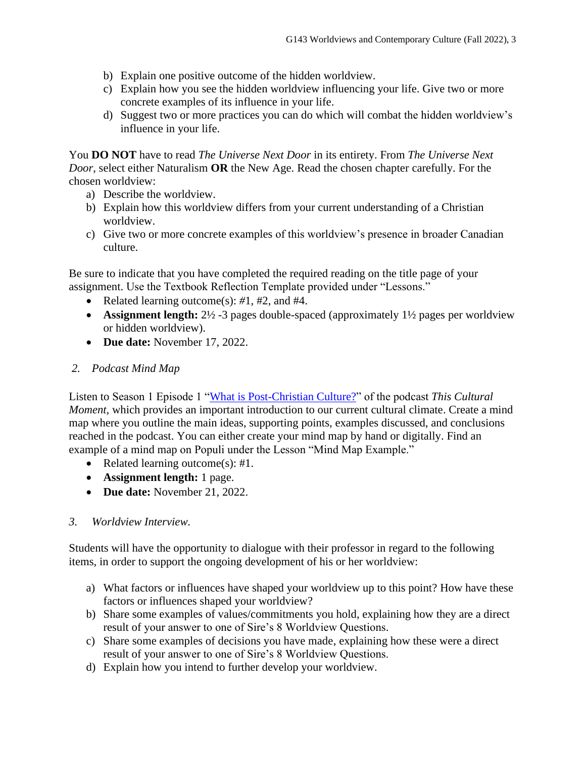- b) Explain one positive outcome of the hidden worldview.
- c) Explain how you see the hidden worldview influencing your life. Give two or more concrete examples of its influence in your life.
- d) Suggest two or more practices you can do which will combat the hidden worldview's influence in your life.

You **DO NOT** have to read *The Universe Next Door* in its entirety. From *The Universe Next Door*, select either Naturalism **OR** the New Age. Read the chosen chapter carefully. For the chosen worldview:

- a) Describe the worldview.
- b) Explain how this worldview differs from your current understanding of a Christian worldview.
- c) Give two or more concrete examples of this worldview's presence in broader Canadian culture.

Be sure to indicate that you have completed the required reading on the title page of your assignment. Use the Textbook Reflection Template provided under "Lessons."

- Related learning outcome(s): *#*1, #2, and #4.
- **Assignment length:**  $2\frac{1}{2}$  -3 pages double-spaced (approximately  $1\frac{1}{2}$  pages per worldview or hidden worldview).
- **Due date:** November 17, 2022.

### *2. Podcast Mind Map*

Listen to Season 1 Episode 1 ["What is Post-Christian Culture?"](https://thisculturalmoment.podbean.com/e/what-is-post-christian-culture/) of the podcast *This Cultural Moment*, which provides an important introduction to our current cultural climate. Create a mind map where you outline the main ideas, supporting points, examples discussed, and conclusions reached in the podcast. You can either create your mind map by hand or digitally. Find an example of a mind map on Populi under the Lesson "Mind Map Example."

- Related learning outcome(s): #1.
- **Assignment length:** 1 page.
- **Due date:** November 21, 2022.

## *3. Worldview Interview.*

Students will have the opportunity to dialogue with their professor in regard to the following items, in order to support the ongoing development of his or her worldview:

- a) What factors or influences have shaped your worldview up to this point? How have these factors or influences shaped your worldview?
- b) Share some examples of values/commitments you hold, explaining how they are a direct result of your answer to one of Sire's 8 Worldview Questions.
- c) Share some examples of decisions you have made, explaining how these were a direct result of your answer to one of Sire's 8 Worldview Questions.
- d) Explain how you intend to further develop your worldview.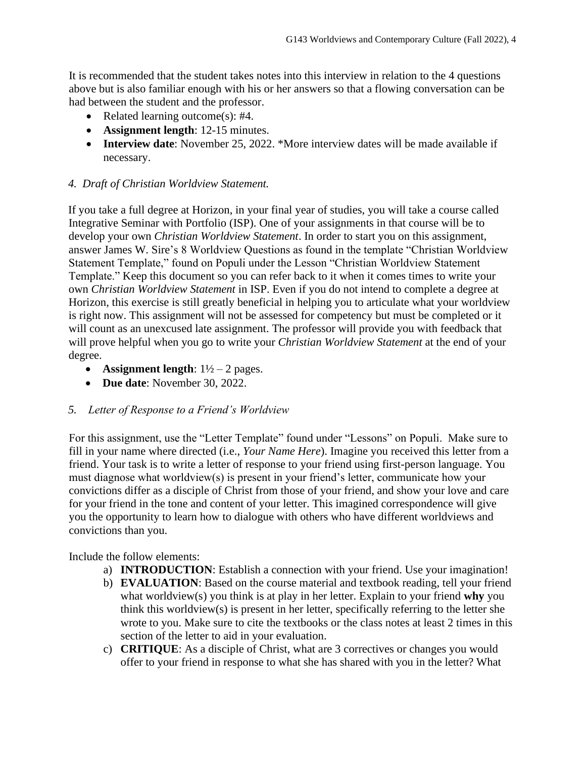It is recommended that the student takes notes into this interview in relation to the 4 questions above but is also familiar enough with his or her answers so that a flowing conversation can be had between the student and the professor.

- Related learning outcome(s): #4.
- **Assignment length**: 12-15 minutes.
- **Interview date**: November 25, 2022. \*More interview dates will be made available if necessary.

## *4. Draft of Christian Worldview Statement.*

If you take a full degree at Horizon, in your final year of studies, you will take a course called Integrative Seminar with Portfolio (ISP). One of your assignments in that course will be to develop your own *Christian Worldview Statement*. In order to start you on this assignment, answer James W. Sire's 8 Worldview Questions as found in the template "Christian Worldview Statement Template," found on Populi under the Lesson "Christian Worldview Statement Template." Keep this document so you can refer back to it when it comes times to write your own *Christian Worldview Statement* in ISP. Even if you do not intend to complete a degree at Horizon, this exercise is still greatly beneficial in helping you to articulate what your worldview is right now. This assignment will not be assessed for competency but must be completed or it will count as an unexcused late assignment. The professor will provide you with feedback that will prove helpful when you go to write your *Christian Worldview Statement* at the end of your degree.

- **Assignment length**:  $1\frac{1}{2} 2$  pages.
- **Due date**: November 30, 2022.

## *5. Letter of Response to a Friend's Worldview*

For this assignment, use the "Letter Template" found under "Lessons" on Populi. Make sure to fill in your name where directed (i.e., *Your Name Here*). Imagine you received this letter from a friend. Your task is to write a letter of response to your friend using first-person language. You must diagnose what worldview(s) is present in your friend's letter, communicate how your convictions differ as a disciple of Christ from those of your friend, and show your love and care for your friend in the tone and content of your letter. This imagined correspondence will give you the opportunity to learn how to dialogue with others who have different worldviews and convictions than you.

Include the follow elements:

- a) **INTRODUCTION**: Establish a connection with your friend. Use your imagination!
- b) **EVALUATION**: Based on the course material and textbook reading, tell your friend what worldview(s) you think is at play in her letter. Explain to your friend **why** you think this worldview(s) is present in her letter, specifically referring to the letter she wrote to you. Make sure to cite the textbooks or the class notes at least 2 times in this section of the letter to aid in your evaluation.
- c) **CRITIQUE**: As a disciple of Christ, what are 3 correctives or changes you would offer to your friend in response to what she has shared with you in the letter? What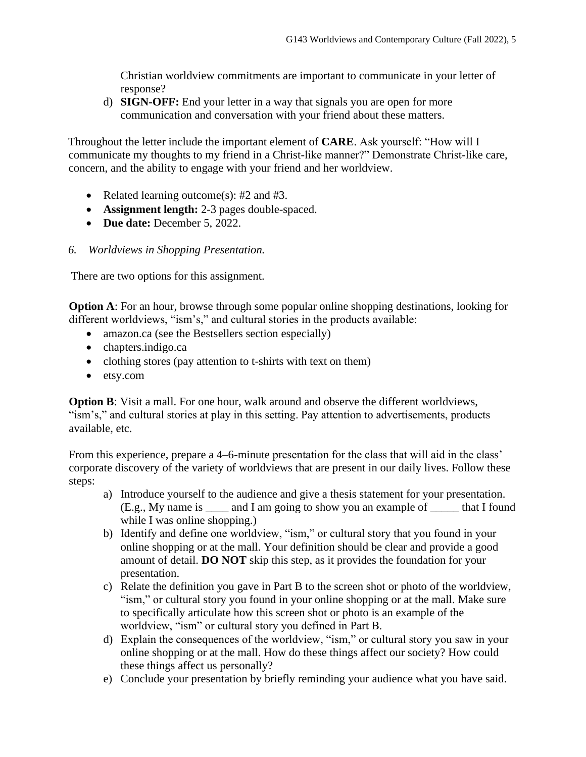Christian worldview commitments are important to communicate in your letter of response?

d) **SIGN-OFF:** End your letter in a way that signals you are open for more communication and conversation with your friend about these matters.

Throughout the letter include the important element of **CARE**. Ask yourself: "How will I communicate my thoughts to my friend in a Christ-like manner?" Demonstrate Christ-like care, concern, and the ability to engage with your friend and her worldview.

- Related learning outcome(s): #2 and #3.
- **Assignment length:** 2-3 pages double-spaced.
- **Due date:** December 5, 2022.
- *6. Worldviews in Shopping Presentation.*

There are two options for this assignment.

**Option A**: For an hour, browse through some popular online shopping destinations, looking for different worldviews, "ism's," and cultural stories in the products available:

- amazon.ca (see the Bestsellers section especially)
- chapters.indigo.ca
- clothing stores (pay attention to t-shirts with text on them)
- etsy.com

**Option B**: Visit a mall. For one hour, walk around and observe the different worldviews, "ism's," and cultural stories at play in this setting. Pay attention to advertisements, products available, etc.

From this experience, prepare a 4–6-minute presentation for the class that will aid in the class' corporate discovery of the variety of worldviews that are present in our daily lives. Follow these steps:

- a) Introduce yourself to the audience and give a thesis statement for your presentation. (E.g., My name is \_\_\_\_ and I am going to show you an example of \_\_\_\_\_ that I found while I was online shopping.)
- b) Identify and define one worldview, "ism," or cultural story that you found in your online shopping or at the mall. Your definition should be clear and provide a good amount of detail. **DO NOT** skip this step, as it provides the foundation for your presentation.
- c) Relate the definition you gave in Part B to the screen shot or photo of the worldview, "ism," or cultural story you found in your online shopping or at the mall. Make sure to specifically articulate how this screen shot or photo is an example of the worldview, "ism" or cultural story you defined in Part B.
- d) Explain the consequences of the worldview, "ism," or cultural story you saw in your online shopping or at the mall. How do these things affect our society? How could these things affect us personally?
- e) Conclude your presentation by briefly reminding your audience what you have said.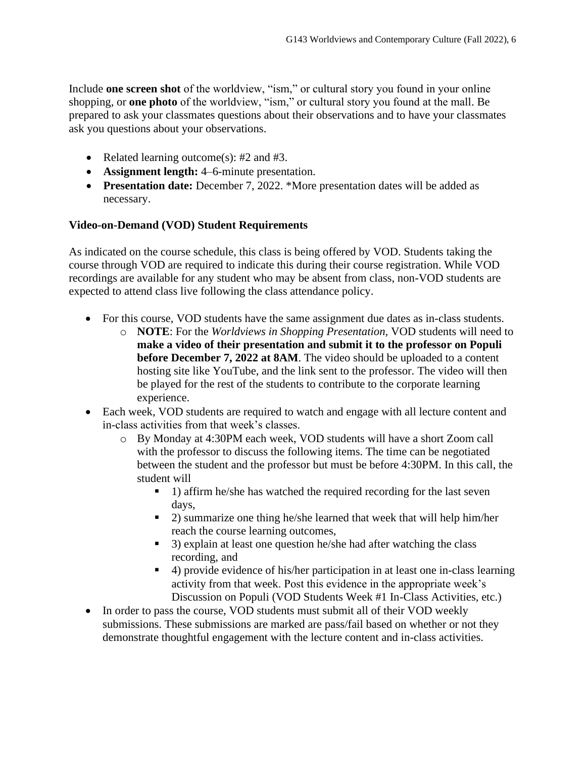Include **one screen shot** of the worldview, "ism," or cultural story you found in your online shopping, or **one photo** of the worldview, "ism," or cultural story you found at the mall. Be prepared to ask your classmates questions about their observations and to have your classmates ask you questions about your observations.

- Related learning outcome(s): #2 and #3.
- **Assignment length:** 4–6-minute presentation.
- **Presentation date:** December 7, 2022. \*More presentation dates will be added as necessary.

## **Video-on-Demand (VOD) Student Requirements**

As indicated on the course schedule, this class is being offered by VOD. Students taking the course through VOD are required to indicate this during their course registration. While VOD recordings are available for any student who may be absent from class, non-VOD students are expected to attend class live following the class attendance policy.

- For this course, VOD students have the same assignment due dates as in-class students.
	- o **NOTE**: For the *Worldviews in Shopping Presentation,* VOD students will need to **make a video of their presentation and submit it to the professor on Populi before December 7, 2022 at 8AM**. The video should be uploaded to a content hosting site like YouTube, and the link sent to the professor. The video will then be played for the rest of the students to contribute to the corporate learning experience.
- Each week, VOD students are required to watch and engage with all lecture content and in-class activities from that week's classes.
	- o By Monday at 4:30PM each week, VOD students will have a short Zoom call with the professor to discuss the following items. The time can be negotiated between the student and the professor but must be before 4:30PM. In this call, the student will
		- 1) affirm he/she has watched the required recording for the last seven days,
		- 2) summarize one thing he/she learned that week that will help him/her reach the course learning outcomes,
		- 3) explain at least one question he/she had after watching the class recording, and
		- 4) provide evidence of his/her participation in at least one in-class learning activity from that week. Post this evidence in the appropriate week's Discussion on Populi (VOD Students Week #1 In-Class Activities, etc.)
- In order to pass the course, VOD students must submit all of their VOD weekly submissions. These submissions are marked are pass/fail based on whether or not they demonstrate thoughtful engagement with the lecture content and in-class activities.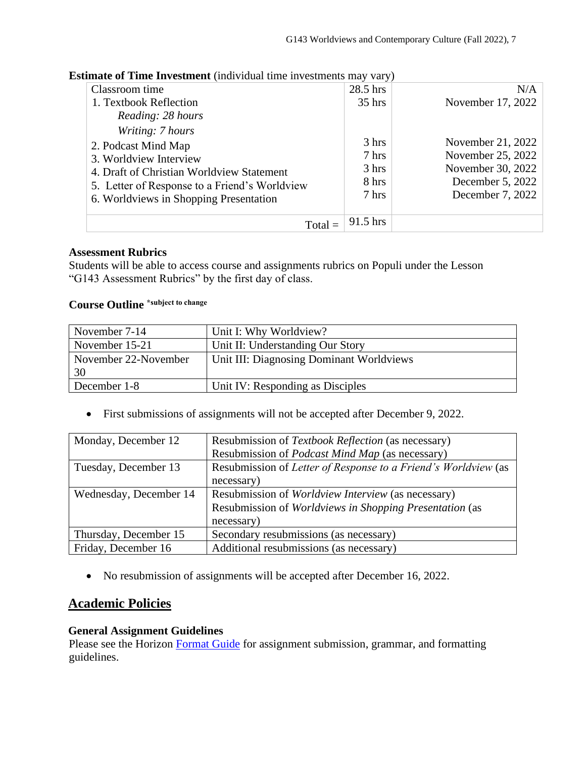**Estimate of Time Investment** *(individual time investments may vary)* 

| Classroom time                                | 28.5 hrs        | N/A               |
|-----------------------------------------------|-----------------|-------------------|
| 1. Textbook Reflection                        | $35$ hrs        | November 17, 2022 |
| Reading: 28 hours                             |                 |                   |
| Writing: 7 hours                              |                 |                   |
| 2. Podcast Mind Map                           | 3 hrs           | November 21, 2022 |
| 3. Worldview Interview                        | $7 \text{ hrs}$ | November 25, 2022 |
| 4. Draft of Christian Worldview Statement     | $3 \text{ hrs}$ | November 30, 2022 |
| 5. Letter of Response to a Friend's Worldview | 8 hrs           | December 5, 2022  |
| 6. Worldviews in Shopping Presentation        | 7 hrs           | December 7, 2022  |
|                                               |                 |                   |
| $Total =$                                     | $91.5$ hrs      |                   |

### **Assessment Rubrics**

Students will be able to access course and assignments rubrics on Populi under the Lesson "G143 Assessment Rubrics" by the first day of class.

#### **Course Outline \*subject to change**

| November 7-14              | Unit I: Why Worldview?                   |
|----------------------------|------------------------------------------|
| November 15-21             | Unit II: Understanding Our Story         |
| November 22-November<br>30 | Unit III: Diagnosing Dominant Worldviews |
| December 1-8               | Unit IV: Responding as Disciples         |

• First submissions of assignments will not be accepted after December 9, 2022.

| Monday, December 12    | Resubmission of Textbook Reflection (as necessary)             |
|------------------------|----------------------------------------------------------------|
|                        | Resubmission of <i>Podcast Mind Map</i> (as necessary)         |
| Tuesday, December 13   | Resubmission of Letter of Response to a Friend's Worldview (as |
|                        | necessary)                                                     |
| Wednesday, December 14 | Resubmission of <i>Worldview Interview</i> (as necessary)      |
|                        | Resubmission of Worldviews in Shopping Presentation (as        |
|                        | necessary)                                                     |
| Thursday, December 15  | Secondary resubmissions (as necessary)                         |
| Friday, December 16    | Additional resubmissions (as necessary)                        |

• No resubmission of assignments will be accepted after December 16, 2022.

## **Academic Policies**

### **General Assignment Guidelines**

Please see the Horizon [Format Guide](https://www.horizon.edu/students/resources/) for assignment submission, grammar, and formatting guidelines.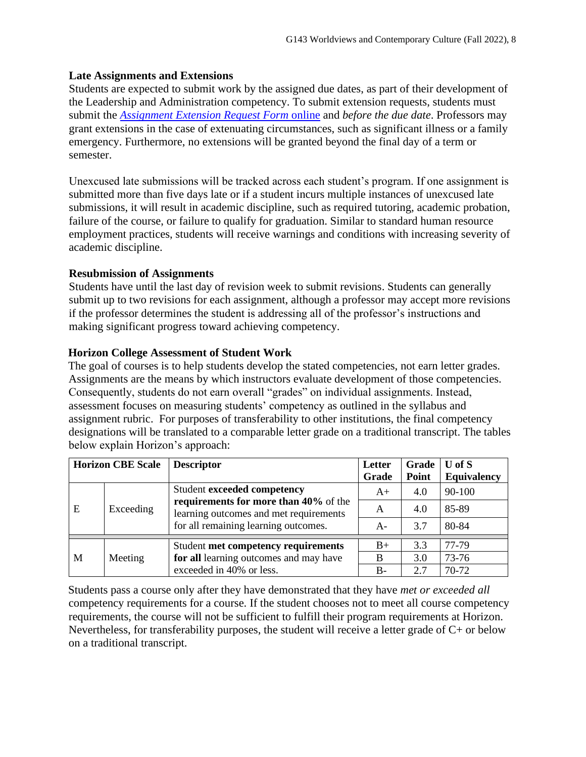### **Late Assignments and Extensions**

Students are expected to submit work by the assigned due dates, as part of their development of the Leadership and Administration competency. To submit extension requests, students must submit the *[Assignment Extension Request Form](https://horizon.edu/forms/student/)* online and *before the due date*. Professors may grant extensions in the case of extenuating circumstances, such as significant illness or a family emergency. Furthermore, no extensions will be granted beyond the final day of a term or semester.

Unexcused late submissions will be tracked across each student's program. If one assignment is submitted more than five days late or if a student incurs multiple instances of unexcused late submissions, it will result in academic discipline, such as required tutoring, academic probation, failure of the course, or failure to qualify for graduation. Similar to standard human resource employment practices, students will receive warnings and conditions with increasing severity of academic discipline.

### **Resubmission of Assignments**

Students have until the last day of revision week to submit revisions. Students can generally submit up to two revisions for each assignment, although a professor may accept more revisions if the professor determines the student is addressing all of the professor's instructions and making significant progress toward achieving competency.

### **Horizon College Assessment of Student Work**

The goal of courses is to help students develop the stated competencies, not earn letter grades. Assignments are the means by which instructors evaluate development of those competencies. Consequently, students do not earn overall "grades" on individual assignments. Instead, assessment focuses on measuring students' competency as outlined in the syllabus and assignment rubric. For purposes of transferability to other institutions, the final competency designations will be translated to a comparable letter grade on a traditional transcript. The tables below explain Horizon's approach:

|   | <b>Horizon CBE Scale</b> | <b>Descriptor</b>                                                                                                       | Letter | Grade | $U$ of $S$         |
|---|--------------------------|-------------------------------------------------------------------------------------------------------------------------|--------|-------|--------------------|
|   |                          |                                                                                                                         | Grade  | Point | <b>Equivalency</b> |
| E | Exceeding                | Student exceeded competency                                                                                             | $A+$   | 4.0   | 90-100             |
|   |                          | requirements for more than 40% of the<br>learning outcomes and met requirements<br>for all remaining learning outcomes. | A      | 4.0   | 85-89              |
|   |                          |                                                                                                                         | $A-$   | 3.7   | 80-84              |
|   |                          | Student met competency requirements                                                                                     | $B+$   | 3.3   | 77-79              |
| M | Meeting                  | for all learning outcomes and may have                                                                                  | B      | 3.0   | 73-76              |
|   |                          | exceeded in 40% or less.                                                                                                | $B -$  | 2.7   | 70-72              |

Students pass a course only after they have demonstrated that they have *met or exceeded all*  competency requirements for a course. If the student chooses not to meet all course competency requirements, the course will not be sufficient to fulfill their program requirements at Horizon. Nevertheless, for transferability purposes, the student will receive a letter grade of  $C<sub>+</sub>$  or below on a traditional transcript.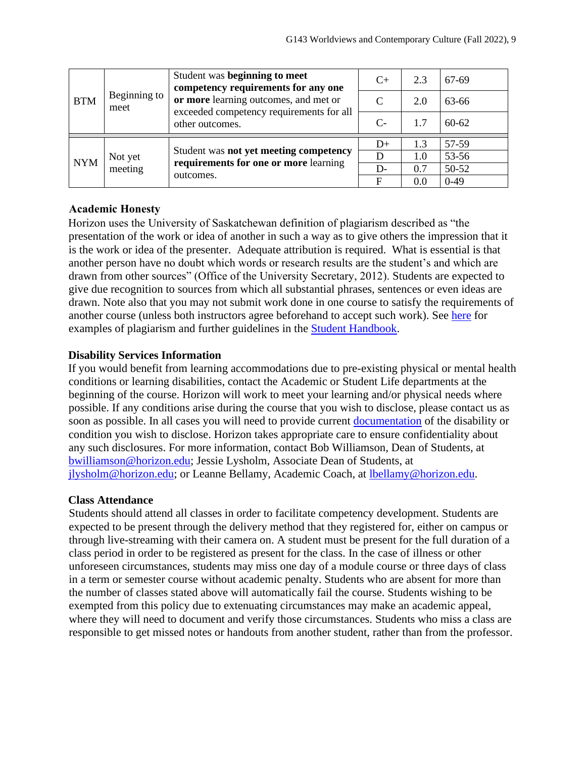| <b>BTM</b> | Beginning to<br>meet | Student was beginning to meet<br>competency requirements for any one<br>or more learning outcomes, and met or<br>exceeded competency requirements for all<br>other outcomes. | $C+$ | 2.3 | 67-69     |
|------------|----------------------|------------------------------------------------------------------------------------------------------------------------------------------------------------------------------|------|-----|-----------|
|            |                      |                                                                                                                                                                              | C    | 2.0 | 63-66     |
|            |                      |                                                                                                                                                                              | $C-$ | 1.7 | $60 - 62$ |
| <b>NYM</b> | Not yet<br>meeting   | Student was not yet meeting competency<br>requirements for one or more learning<br>outcomes.                                                                                 | $D+$ | 1.3 | 57-59     |
|            |                      |                                                                                                                                                                              | D    | 1.0 | 53-56     |
|            |                      |                                                                                                                                                                              | $D-$ | 0.7 | 50-52     |
|            |                      |                                                                                                                                                                              | F    | 0.0 | $0-49$    |

### **Academic Honesty**

Horizon uses the University of Saskatchewan definition of plagiarism described as "the presentation of the work or idea of another in such a way as to give others the impression that it is the work or idea of the presenter. Adequate attribution is required. What is essential is that another person have no doubt which words or research results are the student's and which are drawn from other sources" (Office of the University Secretary, 2012). Students are expected to give due recognition to sources from which all substantial phrases, sentences or even ideas are drawn. Note also that you may not submit work done in one course to satisfy the requirements of another course (unless both instructors agree beforehand to accept such work). See [here](http://www.turnitin.com/assets/en_us/media/plagiarism_spectrum.php) for examples of plagiarism and further guidelines in the [Student Handbook.](https://www.horizon.edu/students/resources/)

### **Disability Services Information**

If you would benefit from learning accommodations due to pre-existing physical or mental health conditions or learning disabilities, contact the Academic or Student Life departments at the beginning of the course. Horizon will work to meet your learning and/or physical needs where possible. If any conditions arise during the course that you wish to disclose, please contact us as soon as possible. In all cases you will need to provide current [documentation](https://www.horizon.edu/students/support/) of the disability or condition you wish to disclose. Horizon takes appropriate care to ensure confidentiality about any such disclosures. For more information, contact Bob Williamson, Dean of Students, at [bwilliamson@horizon.edu;](mailto:bwilliamson@horizon.edu) Jessie Lysholm, Associate Dean of Students, at [jlysholm@horizon.edu;](mailto:jlysholm@horizon.edu) or Leanne Bellamy, Academic Coach, at [lbellamy@horizon.edu.](mailto:lbellamy@horizon.edu)

### **Class Attendance**

Students should attend all classes in order to facilitate competency development. Students are expected to be present through the delivery method that they registered for, either on campus or through live-streaming with their camera on. A student must be present for the full duration of a class period in order to be registered as present for the class. In the case of illness or other unforeseen circumstances, students may miss one day of a module course or three days of class in a term or semester course without academic penalty. Students who are absent for more than the number of classes stated above will automatically fail the course. Students wishing to be exempted from this policy due to extenuating circumstances may make an academic appeal, where they will need to document and verify those circumstances. Students who miss a class are responsible to get missed notes or handouts from another student, rather than from the professor.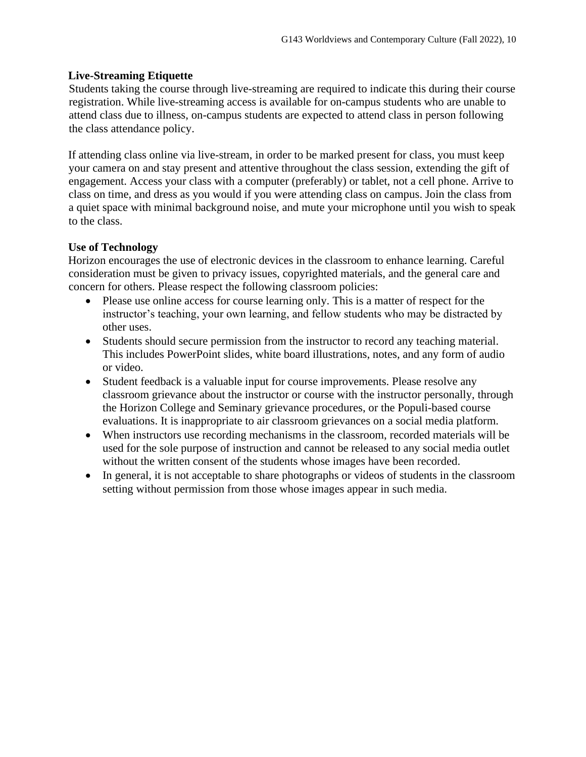### **Live-Streaming Etiquette**

Students taking the course through live-streaming are required to indicate this during their course registration. While live-streaming access is available for on-campus students who are unable to attend class due to illness, on-campus students are expected to attend class in person following the class attendance policy.

If attending class online via live-stream, in order to be marked present for class, you must keep your camera on and stay present and attentive throughout the class session, extending the gift of engagement. Access your class with a computer (preferably) or tablet, not a cell phone. Arrive to class on time, and dress as you would if you were attending class on campus. Join the class from a quiet space with minimal background noise, and mute your microphone until you wish to speak to the class.

### **Use of Technology**

Horizon encourages the use of electronic devices in the classroom to enhance learning. Careful consideration must be given to privacy issues, copyrighted materials, and the general care and concern for others. Please respect the following classroom policies:

- Please use online access for course learning only. This is a matter of respect for the instructor's teaching, your own learning, and fellow students who may be distracted by other uses.
- Students should secure permission from the instructor to record any teaching material. This includes PowerPoint slides, white board illustrations, notes, and any form of audio or video.
- Student feedback is a valuable input for course improvements. Please resolve any classroom grievance about the instructor or course with the instructor personally, through the Horizon College and Seminary grievance procedures, or the Populi-based course evaluations. It is inappropriate to air classroom grievances on a social media platform.
- When instructors use recording mechanisms in the classroom, recorded materials will be used for the sole purpose of instruction and cannot be released to any social media outlet without the written consent of the students whose images have been recorded.
- In general, it is not acceptable to share photographs or videos of students in the classroom setting without permission from those whose images appear in such media.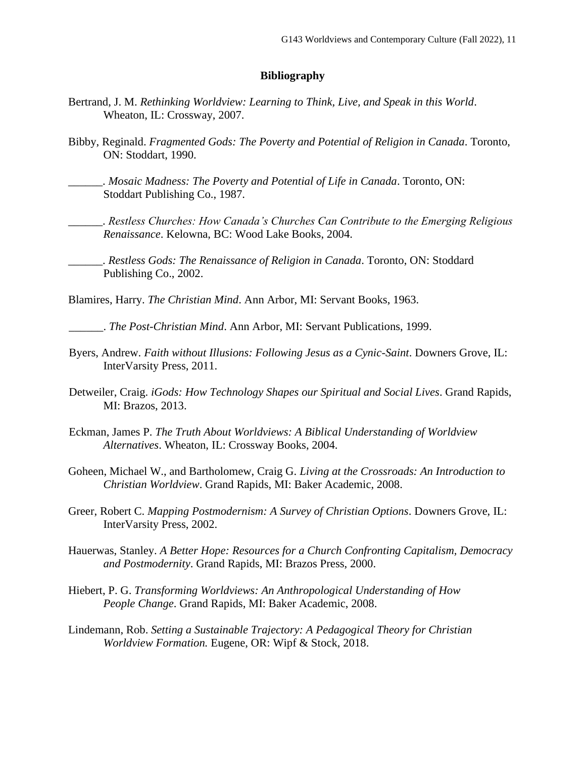#### **Bibliography**

- Bertrand, J. M. *Rethinking Worldview: Learning to Think, Live, and Speak in this World*. Wheaton, IL: Crossway, 2007.
- Bibby, Reginald. *Fragmented Gods: The Poverty and Potential of Religion in Canada*. Toronto, ON: Stoddart, 1990.
	- \_\_\_\_\_\_. *Mosaic Madness: The Poverty and Potential of Life in Canada*. Toronto, ON: Stoddart Publishing Co., 1987.
	- \_\_\_\_\_\_. *Restless Churches: How Canada's Churches Can Contribute to the Emerging Religious Renaissance*. Kelowna, BC: Wood Lake Books, 2004.
	- \_\_\_\_\_\_. *Restless Gods: The Renaissance of Religion in Canada*. Toronto, ON: Stoddard Publishing Co., 2002.

Blamires, Harry. *The Christian Mind*. Ann Arbor, MI: Servant Books, 1963.

\_\_\_\_\_\_. *The Post-Christian Mind*. Ann Arbor, MI: Servant Publications, 1999.

- Byers, Andrew. *Faith without Illusions: Following Jesus as a Cynic-Saint*. Downers Grove, IL: InterVarsity Press, 2011.
- Detweiler, Craig. *iGods: How Technology Shapes our Spiritual and Social Lives*. Grand Rapids, MI: Brazos, 2013.
- Eckman, James P. *The Truth About Worldviews: A Biblical Understanding of Worldview Alternatives*. Wheaton, IL: Crossway Books, 2004.
- Goheen, Michael W., and Bartholomew, Craig G. *Living at the Crossroads: An Introduction to Christian Worldview*. Grand Rapids, MI: Baker Academic, 2008.
- Greer, Robert C. *Mapping Postmodernism: A Survey of Christian Options*. Downers Grove, IL: InterVarsity Press, 2002.
- Hauerwas, Stanley. *A Better Hope: Resources for a Church Confronting Capitalism, Democracy and Postmodernity*. Grand Rapids, MI: Brazos Press, 2000.
- Hiebert, P. G. *Transforming Worldviews: An Anthropological Understanding of How People Change*. Grand Rapids, MI: Baker Academic, 2008.
- Lindemann, Rob. *Setting a Sustainable Trajectory: A Pedagogical Theory for Christian Worldview Formation.* Eugene, OR: Wipf & Stock, 2018.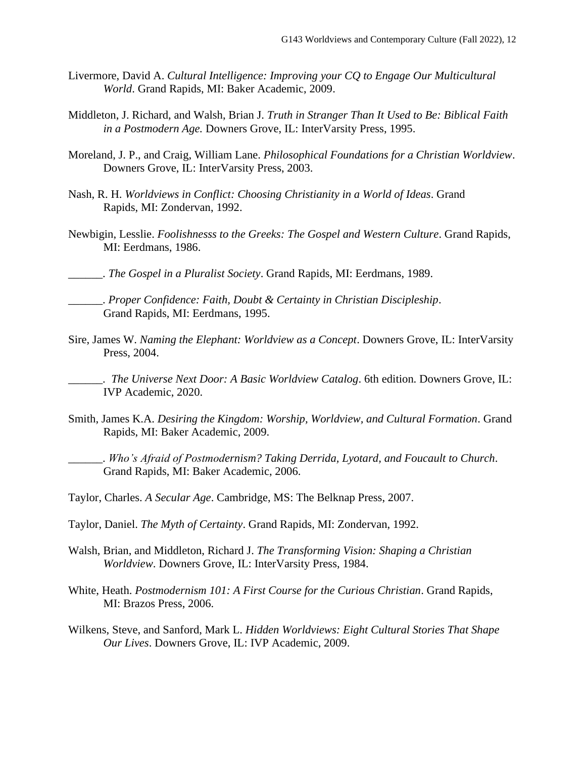- Livermore, David A. *Cultural Intelligence: Improving your CQ to Engage Our Multicultural World*. Grand Rapids, MI: Baker Academic, 2009.
- Middleton, J. Richard, and Walsh, Brian J. *Truth in Stranger Than It Used to Be: Biblical Faith in a Postmodern Age.* Downers Grove, IL: InterVarsity Press, 1995.
- Moreland, J. P., and Craig, William Lane. *Philosophical Foundations for a Christian Worldview*. Downers Grove, IL: InterVarsity Press, 2003.
- Nash, R. H. *Worldviews in Conflict: Choosing Christianity in a World of Ideas*. Grand Rapids, MI: Zondervan, 1992.
- Newbigin, Lesslie. *Foolishnesss to the Greeks: The Gospel and Western Culture*. Grand Rapids, MI: Eerdmans, 1986.
- \_\_\_\_\_\_. *The Gospel in a Pluralist Society*. Grand Rapids, MI: Eerdmans, 1989.
	- \_\_\_\_\_\_. *Proper Confidence: Faith, Doubt & Certainty in Christian Discipleship*. Grand Rapids, MI: Eerdmans, 1995.
- Sire, James W. *Naming the Elephant: Worldview as a Concept*. Downers Grove, IL: InterVarsity Press, 2004.

\_\_\_\_\_\_. *The Universe Next Door: A Basic Worldview Catalog*. 6th edition. Downers Grove, IL: IVP Academic, 2020.

Smith, James K.A. *Desiring the Kingdom: Worship, Worldview, and Cultural Formation*. Grand Rapids, MI: Baker Academic, 2009.

\_\_\_\_\_\_. *Who's Afraid of Postmodernism? Taking Derrida, Lyotard, and Foucault to Church*. Grand Rapids, MI: Baker Academic, 2006.

Taylor, Charles. *A Secular Age*. Cambridge, MS: The Belknap Press, 2007.

- Taylor, Daniel. *The Myth of Certainty*. Grand Rapids, MI: Zondervan, 1992.
- Walsh, Brian, and Middleton, Richard J. *The Transforming Vision: Shaping a Christian Worldview*. Downers Grove, IL: InterVarsity Press, 1984.
- White, Heath. *Postmodernism 101: A First Course for the Curious Christian*. Grand Rapids, MI: Brazos Press, 2006.
- Wilkens, Steve, and Sanford, Mark L. *Hidden Worldviews: Eight Cultural Stories That Shape Our Lives*. Downers Grove, IL: IVP Academic, 2009.